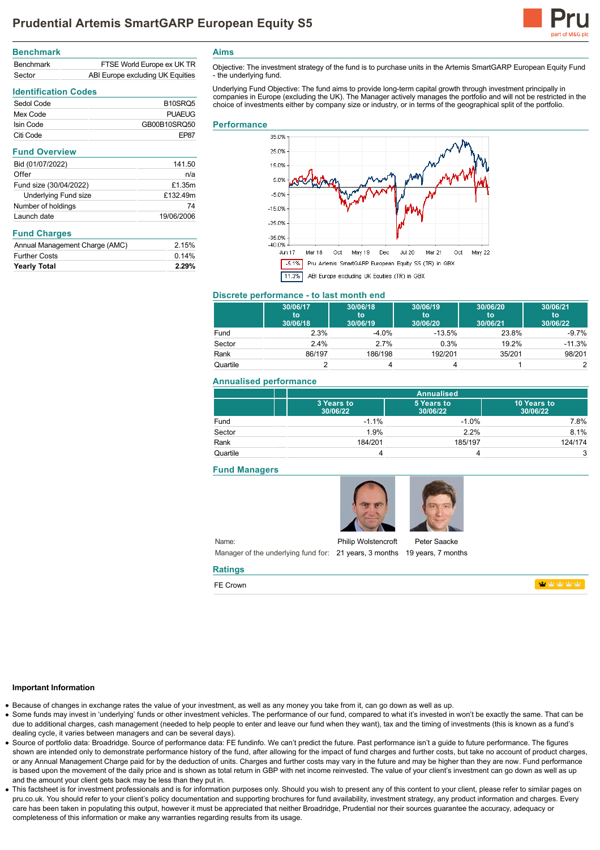

| <b>Benchmark</b> |                                  |
|------------------|----------------------------------|
| <b>Benchmark</b> | FTSE World Europe ex UK TR       |
| Sector           | ABI Europe excluding UK Equities |

**Identification Codes**

| B <sub>10</sub> SR <sub>Q5</sub> |
|----------------------------------|
| PUAFUG                           |
| GB00B10SRQ50                     |
| FP87                             |
|                                  |

| <b>Fund Overview</b>   |            |
|------------------------|------------|
| Bid (01/07/2022)       | 141.50     |
| Offer                  | n/a        |
| Fund size (30/04/2022) | £1.35m     |
| Underlying Fund size   | £132.49m   |
| Number of holdings     | 74         |
| Launch date            | 19/06/2006 |

### **Fund Charges**

| <b>Yearly Total</b>            | 2.29% |
|--------------------------------|-------|
| <b>Further Costs</b>           | 0.14% |
| Annual Management Charge (AMC) | 2.15% |

**Aims**

Objective: The investment strategy of the fund is to purchase units in the Artemis SmartGARP European Equity Fund - the underlying fund.

Underlying Fund Objective: The fund aims to provide long-term capital growth through investment principally in<br>companies in Europe (excluding the UK). The Manager actively manages the portfolio and will not be restricted i choice of investments either by company size or industry, or in terms of the geographical split of the portfolio.

#### **Performance**



### **Discrete performance - to last month end**

|          | 30/06/17<br>to<br>30/06/18 | 30/06/18<br>to<br>30/06/19 | 30/06/19<br>to<br>30/06/20 | 30/06/20<br>to<br>30/06/21 | 30/06/21<br>to<br>30/06/22 |
|----------|----------------------------|----------------------------|----------------------------|----------------------------|----------------------------|
| Fund     | 2.3%                       | $-4.0%$                    | $-13.5%$                   | 23.8%                      | $-9.7\%$                   |
| Sector   | $2.4\%$                    | 2.7%                       | 0.3%                       | 19.2%                      | $-11.3%$                   |
| Rank     | 86/197                     | 186/198                    | 192/201                    | 35/201                     | 98/201                     |
| Quartile |                            |                            |                            |                            |                            |

### **Annualised performance**

|          |                        | <b>Annualised</b>      |                         |  |
|----------|------------------------|------------------------|-------------------------|--|
|          | 3 Years to<br>30/06/22 | 5 Years to<br>30/06/22 | 10 Years to<br>30/06/22 |  |
| Fund     | $-1.1%$                | $-1.0%$                | 7.8%                    |  |
| Sector   | 1.9%                   | 2.2%                   | 8.1%                    |  |
| Rank     | 184/201                | 185/197                | 124/174                 |  |
| Quartile |                        | 4                      | 3                       |  |

### **Fund Managers**



Name: Manager of the underlying fund for: 21 years, 3 months 19 years, 7 months Philip Wolstencroft

Peter Saacke

**Monday Mark** 

#### **Important Information**

Because of changes in exchange rates the value of your investment, as well as any money you take from it, can go down as well as up.

**Ratings** FE Crown

- Some funds may invest in 'underlying' funds or other investment vehicles. The performance of our fund, compared to what it's invested in won't be exactly the same. That can be due to additional charges, cash management (needed to help people to enter and leave our fund when they want), tax and the timing of investments (this is known as a fund's dealing cycle, it varies between managers and can be several days).
- Source of portfolio data: Broadridge. Source of performance data: FE fundinfo. We can't predict the future. Past performance isn't a guide to future performance. The figures shown are intended only to demonstrate performance history of the fund, after allowing for the impact of fund charges and further costs, but take no account of product charges, or any Annual Management Charge paid for by the deduction of units. Charges and further costs may vary in the future and may be higher than they are now. Fund performance is based upon the movement of the daily price and is shown as total return in GBP with net income reinvested. The value of your client's investment can go down as well as up and the amount your client gets back may be less than they put in.
- This factsheet is for investment professionals and is for information purposes only. Should you wish to present any of this content to your client, please refer to similar pages on pru.co.uk. You should refer to your client's policy documentation and supporting brochures for fund availability, investment strategy, any product information and charges. Every care has been taken in populating this output, however it must be appreciated that neither Broadridge. Prudential nor their sources guarantee the accuracy, adequacy or completeness of this information or make any warranties regarding results from its usage.